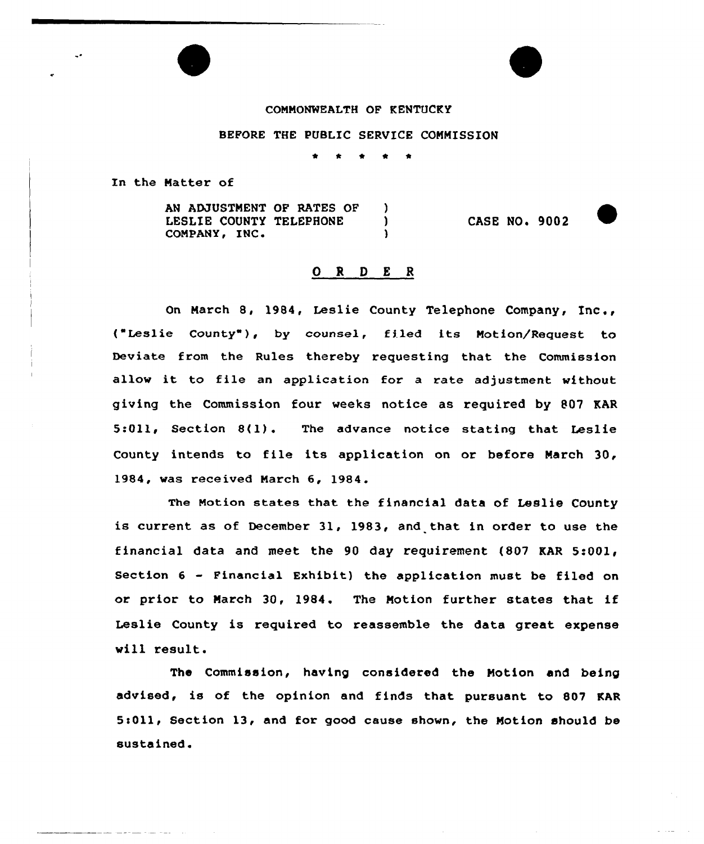## COMMONWEALTH OF KENTUCKY

## BEFORE THE PUBLIC SERVICE CONNISSION

In the Matter of

AN ADJUSTMENT OF RATES OF )<br>LESLIE COUNTY TELEPHONE ) LESLIE COUNTY TELEPHONE )<br>
COMPANY, INC. COMPANY, IN'ASE NO. <sup>9002</sup>

## 0 <sup>R</sup> 0 E <sup>R</sup>

On March 8, 1984, Leslie County Telephone Company, Inc., ("Leslie County"), by counsel, filed its Motion/Request to Deviate from the Rules thereby requesting that the Commission allow it to file an application for <sup>a</sup> rate adjustment without giving the Commission four weeks notice as required by 807 EAR 5:Oll, Section 8(l). The advance notice stating that Leslie County intends to file its application on or before Narch 30, 1984, was received Narch 6, 1984.

The Motion states that the financial data of Leslie County is current as of December 31, 1983, and that in order to use the financial data and meet the 90 day requirement (807 EAR 5:001, Section 6 - Financial Exhibit) the application must be filed on or prior to March 30, 1984. The Motion further states that if Leslie County is required to reassemble the data great expense will result.

The Commission, having considered the Notion and being advised, is of the opinion and finds that pursuant to 807 KAR 5cOll, Section 13, and for good cause shown, the Motion should be sustained.